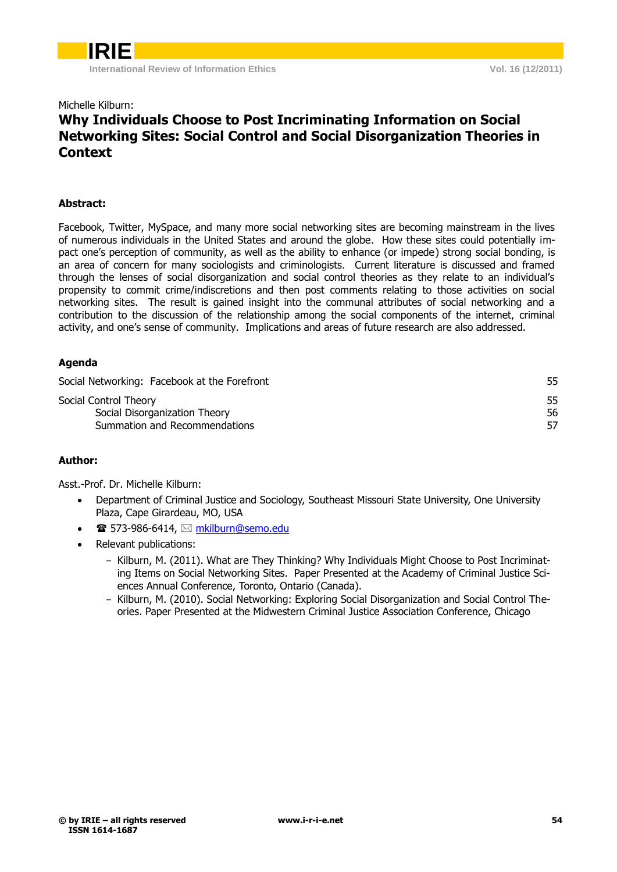### Michelle Kilburn:

### **Why Individuals Choose to Post Incriminating Information on Social Networking Sites: Social Control and Social Disorganization Theories in Context**

### **Abstract:**

Facebook, Twitter, MySpace, and many more social networking sites are becoming mainstream in the lives of numerous individuals in the United States and around the globe. How these sites could potentially impact one's perception of community, as well as the ability to enhance (or impede) strong social bonding, is an area of concern for many sociologists and criminologists. Current literature is discussed and framed through the lenses of social disorganization and social control theories as they relate to an individual's propensity to commit crime/indiscretions and then post comments relating to those activities on social networking sites. The result is gained insight into the communal attributes of social networking and a contribution to the discussion of the relationship among the social components of the internet, criminal activity, and one's sense of community. Implications and areas of future research are also addressed.

### **Agenda**

| Social Networking: Facebook at the Forefront | 55 |
|----------------------------------------------|----|
| Social Control Theory                        | 55 |
| Social Disorganization Theory                | 56 |
| Summation and Recommendations                | 57 |
|                                              |    |

### **Author:**

Asst.-Prof. Dr. Michelle Kilburn:

- Department of Criminal Justice and Sociology, Southeast Missouri State University, One University Plaza, Cape Girardeau, MO, USA
- $\mathbf{\widehat{m}}$  573-986-6414,  $\boxtimes$  [mkilburn@semo.edu](mailto:mkilburn@semo.edu)
- <span id="page-0-0"></span> Relevant publications:
	- Kilburn, M. (2011). What are They Thinking? Why Individuals Might Choose to Post Incriminating Items on Social Networking Sites. Paper Presented at the Academy of Criminal Justice Sciences Annual Conference, Toronto, Ontario (Canada).
	- Kilburn, M. (2010). Social Networking: Exploring Social Disorganization and Social Control Theories. Paper Presented at the Midwestern Criminal Justice Association Conference, Chicago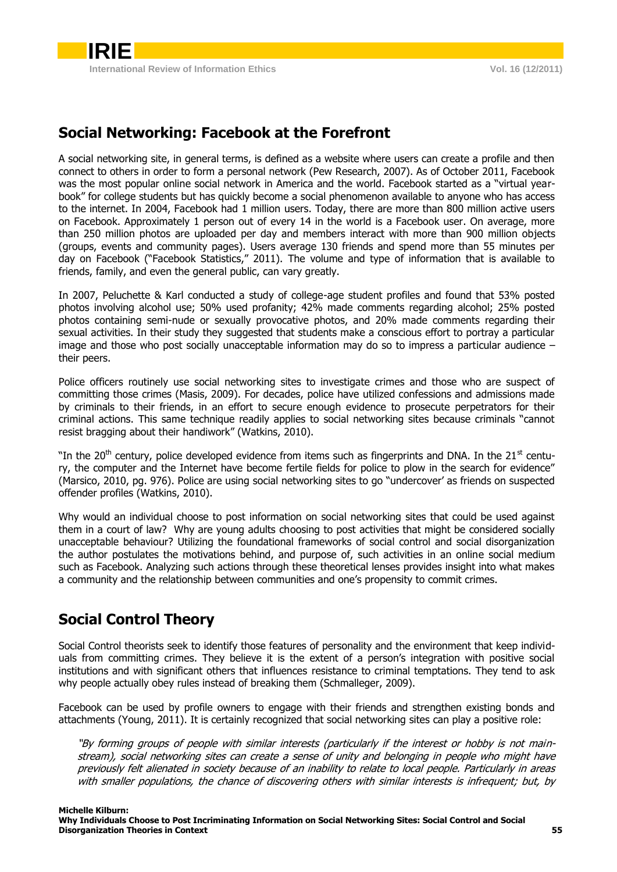## **Social Networking: Facebook at the Forefront**

A social networking site, in general terms, is defined as a website where users can create a profile and then connect to others in order to form a personal network (Pew Research, 2007). As of October 2011, Facebook was the most popular online social network in America and the world. Facebook started as a "virtual yearbook" for college students but has quickly become a social phenomenon available to anyone who has access to the internet. In 2004, Facebook had 1 million users. Today, there are more than 800 million active users on Facebook. Approximately 1 person out of every 14 in the world is a Facebook user. On average, more than 250 million photos are uploaded per day and members interact with more than 900 million objects (groups, events and community pages). Users average 130 friends and spend more than 55 minutes per day on Facebook ("Facebook Statistics," 2011). The volume and type of information that is available to friends, family, and even the general public, can vary greatly.

In 2007, Peluchette & Karl conducted a study of college-age student profiles and found that 53% posted photos involving alcohol use; 50% used profanity; 42% made comments regarding alcohol; 25% posted photos containing semi-nude or sexually provocative photos, and 20% made comments regarding their sexual activities. In their study they suggested that students make a conscious effort to portray a particular image and those who post socially unacceptable information may do so to impress a particular audience – their peers.

Police officers routinely use social networking sites to investigate crimes and those who are suspect of committing those crimes (Masis, 2009). For decades, police have utilized confessions and admissions made by criminals to their friends, in an effort to secure enough evidence to prosecute perpetrators for their criminal actions. This same technique readily applies to social networking sites because criminals "cannot resist bragging about their handiwork" (Watkins, 2010).

"In the 20<sup>th</sup> century, police developed evidence from items such as fingerprints and DNA. In the 21<sup>st</sup> century, the computer and the Internet have become fertile fields for police to plow in the search for evidence" (Marsico, 2010, pg. 976). Police are using social networking sites to go "undercover' as friends on suspected offender profiles (Watkins, 2010).

Why would an individual choose to post information on social networking sites that could be used against them in a court of law? Why are young adults choosing to post activities that might be considered socially unacceptable behaviour? Utilizing the foundational frameworks of social control and social disorganization the author postulates the motivations behind, and purpose of, such activities in an online social medium such as Facebook. Analyzing such actions through these theoretical lenses provides insight into what makes a community and the relationship between communities and one's propensity to commit crimes.

### <span id="page-1-0"></span>**Social Control Theory**

Social Control theorists seek to identify those features of personality and the environment that keep individuals from committing crimes. They believe it is the extent of a person's integration with positive social institutions and with significant others that influences resistance to criminal temptations. They tend to ask why people actually obey rules instead of breaking them (Schmalleger, 2009).

Facebook can be used by profile owners to engage with their friends and strengthen existing bonds and attachments (Young, 2011). It is certainly recognized that social networking sites can play a positive role:

"By forming groups of people with similar interests (particularly if the interest or hobby is not mainstream), social networking sites can create a sense of unity and belonging in people who might have previously felt alienated in society because of an inability to relate to local people. Particularly in areas with smaller populations, the chance of discovering others with similar interests is infrequent; but, by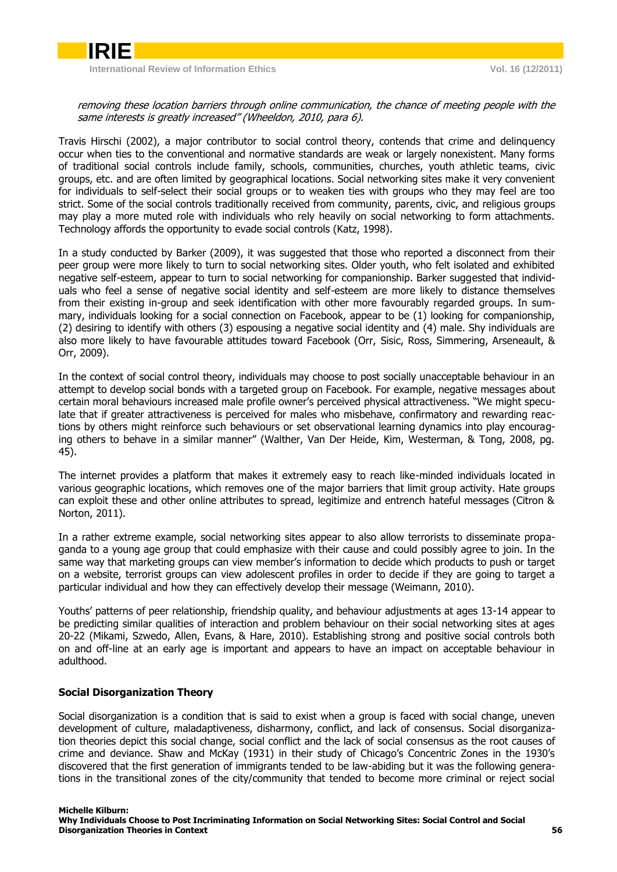

**International Review of Information Ethics Vol. 16 (12/2011)**

removing these location barriers through online communication, the chance of meeting people with the same interests is greatly increased" (Wheeldon, 2010, para 6).

Travis Hirschi (2002), a major contributor to social control theory, contends that crime and delinquency occur when ties to the conventional and normative standards are weak or largely nonexistent. Many forms of traditional social controls include family, schools, communities, churches, youth athletic teams, civic groups, etc. and are often limited by geographical locations. Social networking sites make it very convenient for individuals to self-select their social groups or to weaken ties with groups who they may feel are too strict. Some of the social controls traditionally received from community, parents, civic, and religious groups may play a more muted role with individuals who rely heavily on social networking to form attachments. Technology affords the opportunity to evade social controls (Katz, 1998).

In a study conducted by Barker (2009), it was suggested that those who reported a disconnect from their peer group were more likely to turn to social networking sites. Older youth, who felt isolated and exhibited negative self-esteem, appear to turn to social networking for companionship. Barker suggested that individuals who feel a sense of negative social identity and self-esteem are more likely to distance themselves from their existing in-group and seek identification with other more favourably regarded groups. In summary, individuals looking for a social connection on Facebook, appear to be (1) looking for companionship, (2) desiring to identify with others (3) espousing a negative social identity and (4) male. Shy individuals are also more likely to have favourable attitudes toward Facebook (Orr, Sisic, Ross, Simmering, Arseneault, & Orr, 2009).

In the context of social control theory, individuals may choose to post socially unacceptable behaviour in an attempt to develop social bonds with a targeted group on Facebook. For example, negative messages about certain moral behaviours increased male profile owner's perceived physical attractiveness. "We might speculate that if greater attractiveness is perceived for males who misbehave, confirmatory and rewarding reactions by others might reinforce such behaviours or set observational learning dynamics into play encouraging others to behave in a similar manner" (Walther, Van Der Heide, Kim, Westerman, & Tong, 2008, pg. 45).

The internet provides a platform that makes it extremely easy to reach like-minded individuals located in various geographic locations, which removes one of the major barriers that limit group activity. Hate groups can exploit these and other online attributes to spread, legitimize and entrench hateful messages (Citron & Norton, 2011).

In a rather extreme example, social networking sites appear to also allow terrorists to disseminate propaganda to a young age group that could emphasize with their cause and could possibly agree to join. In the same way that marketing groups can view member's information to decide which products to push or target on a website, terrorist groups can view adolescent profiles in order to decide if they are going to target a particular individual and how they can effectively develop their message (Weimann, 2010).

Youths' patterns of peer relationship, friendship quality, and behaviour adjustments at ages 13-14 appear to be predicting similar qualities of interaction and problem behaviour on their social networking sites at ages 20-22 (Mikami, Szwedo, Allen, Evans, & Hare, 2010). Establishing strong and positive social controls both on and off-line at an early age is important and appears to have an impact on acceptable behaviour in adulthood.

### <span id="page-2-0"></span>**Social Disorganization Theory**

Social disorganization is a condition that is said to exist when a group is faced with social change, uneven development of culture, maladaptiveness, disharmony, conflict, and lack of consensus. Social disorganization theories depict this social change, social conflict and the lack of social consensus as the root causes of crime and deviance. Shaw and McKay (1931) in their study of Chicago's Concentric Zones in the 1930's discovered that the first generation of immigrants tended to be law-abiding but it was the following generations in the transitional zones of the city/community that tended to become more criminal or reject social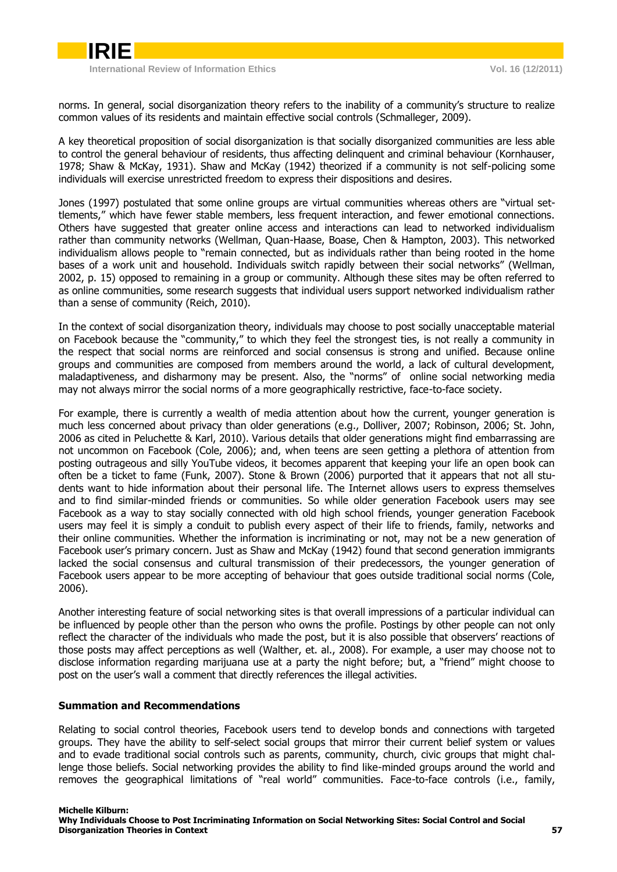**International Review of Information Ethics Vol. 16 (12/2011)**

**IRIE**

norms. In general, social disorganization theory refers to the inability of a community's structure to realize common values of its residents and maintain effective social controls (Schmalleger, 2009).

A key theoretical proposition of social disorganization is that socially disorganized communities are less able to control the general behaviour of residents, thus affecting delinquent and criminal behaviour (Kornhauser, 1978; Shaw & McKay, 1931). Shaw and McKay (1942) theorized if a community is not self-policing some individuals will exercise unrestricted freedom to express their dispositions and desires.

Jones (1997) postulated that some online groups are virtual communities whereas others are "virtual settlements," which have fewer stable members, less frequent interaction, and fewer emotional connections. Others have suggested that greater online access and interactions can lead to networked individualism rather than community networks (Wellman, Quan-Haase, Boase, Chen & Hampton, 2003). This networked individualism allows people to "remain connected, but as individuals rather than being rooted in the home bases of a work unit and household. Individuals switch rapidly between their social networks" (Wellman, 2002, p. 15) opposed to remaining in a group or community. Although these sites may be often referred to as online communities, some research suggests that individual users support networked individualism rather than a sense of community (Reich, 2010).

In the context of social disorganization theory, individuals may choose to post socially unacceptable material on Facebook because the "community," to which they feel the strongest ties, is not really a community in the respect that social norms are reinforced and social consensus is strong and unified. Because online groups and communities are composed from members around the world, a lack of cultural development, maladaptiveness, and disharmony may be present. Also, the "norms" of online social networking media may not always mirror the social norms of a more geographically restrictive, face-to-face society.

For example, there is currently a wealth of media attention about how the current, younger generation is much less concerned about privacy than older generations (e.g., Dolliver, 2007; Robinson, 2006; St. John, 2006 as cited in Peluchette & Karl, 2010). Various details that older generations might find embarrassing are not uncommon on Facebook (Cole, 2006); and, when teens are seen getting a plethora of attention from posting outrageous and silly YouTube videos, it becomes apparent that keeping your life an open book can often be a ticket to fame (Funk, 2007). Stone & Brown (2006) purported that it appears that not all students want to hide information about their personal life. The Internet allows users to express themselves and to find similar-minded friends or communities. So while older generation Facebook users may see Facebook as a way to stay socially connected with old high school friends, younger generation Facebook users may feel it is simply a conduit to publish every aspect of their life to friends, family, networks and their online communities. Whether the information is incriminating or not, may not be a new generation of Facebook user's primary concern. Just as Shaw and McKay (1942) found that second generation immigrants lacked the social consensus and cultural transmission of their predecessors, the younger generation of Facebook users appear to be more accepting of behaviour that goes outside traditional social norms (Cole, 2006).

Another interesting feature of social networking sites is that overall impressions of a particular individual can be influenced by people other than the person who owns the profile. Postings by other people can not only reflect the character of the individuals who made the post, but it is also possible that observers' reactions of those posts may affect perceptions as well (Walther, et. al., 2008). For example, a user may choose not to disclose information regarding marijuana use at a party the night before; but, a "friend" might choose to post on the user's wall a comment that directly references the illegal activities.

### <span id="page-3-0"></span>**Summation and Recommendations**

Relating to social control theories, Facebook users tend to develop bonds and connections with targeted groups. They have the ability to self-select social groups that mirror their current belief system or values and to evade traditional social controls such as parents, community, church, civic groups that might challenge those beliefs. Social networking provides the ability to find like-minded groups around the world and removes the geographical limitations of "real world" communities. Face-to-face controls (i.e., family,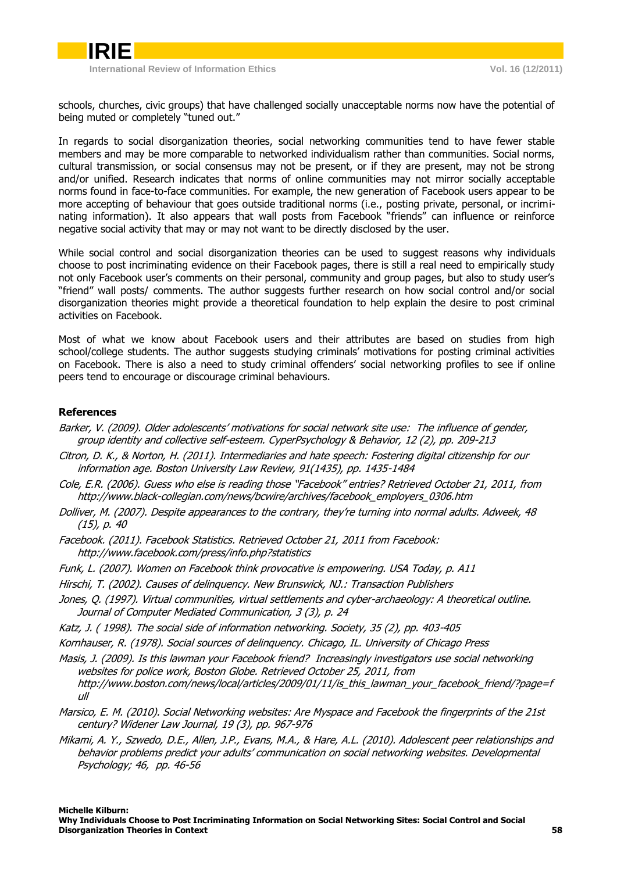

**International Review of Information Ethics Vol. 16 (12/2011)**

schools, churches, civic groups) that have challenged socially unacceptable norms now have the potential of being muted or completely "tuned out."

In regards to social disorganization theories, social networking communities tend to have fewer stable members and may be more comparable to networked individualism rather than communities. Social norms, cultural transmission, or social consensus may not be present, or if they are present, may not be strong and/or unified. Research indicates that norms of online communities may not mirror socially acceptable norms found in face-to-face communities. For example, the new generation of Facebook users appear to be more accepting of behaviour that goes outside traditional norms (i.e., posting private, personal, or incriminating information). It also appears that wall posts from Facebook "friends" can influence or reinforce negative social activity that may or may not want to be directly disclosed by the user.

While social control and social disorganization theories can be used to suggest reasons why individuals choose to post incriminating evidence on their Facebook pages, there is still a real need to empirically study not only Facebook user's comments on their personal, community and group pages, but also to study user's "friend" wall posts/ comments. The author suggests further research on how social control and/or social disorganization theories might provide a theoretical foundation to help explain the desire to post criminal activities on Facebook.

Most of what we know about Facebook users and their attributes are based on studies from high school/college students. The author suggests studying criminals' motivations for posting criminal activities on Facebook. There is also a need to study criminal offenders' social networking profiles to see if online peers tend to encourage or discourage criminal behaviours.

### **References**

- Barker, V. (2009). Older adolescents' motivations for social network site use: The influence of gender, group identity and collective self-esteem. CyperPsychology & Behavior, 12 (2), pp. 209-213
- Citron, D. K., & Norton, H. (2011). Intermediaries and hate speech: Fostering digital citizenship for our information age. Boston University Law Review, 91(1435), pp. 1435-1484
- Cole, E.R. (2006). Guess who else is reading those "Facebook" entries? Retrieved October 21, 2011, from [http://www.black-collegian.com/news/bcwire/archives/facebook\\_employers\\_0306.htm](http://www.black-collegian.com/news/bcwire/archives/facebook_employers_0306.htm)
- Dolliver, M. (2007). Despite appearances to the contrary, they're turning into normal adults. Adweek, 48 (15), p. 40
- Facebook. (2011). Facebook Statistics. Retrieved October 21, 2011 from Facebook: <http://www.facebook.com/press/info.php?statistics>
- Funk, L. (2007). Women on Facebook think provocative is empowering. USA Today, p. A11
- Hirschi, T. (2002). Causes of delinquency. New Brunswick, NJ.: Transaction Publishers
- Jones, Q. (1997). Virtual communities, virtual settlements and cyber-archaeology: A theoretical outline. Journal of Computer Mediated Communication, 3 (3), p. 24
- Katz, J. ( 1998). The social side of information networking. Society, 35 (2), pp. 403-405
- Kornhauser, R. (1978). Social sources of delinquency. Chicago, IL. University of Chicago Press
- Masis, J. (2009). Is this lawman your Facebook friend? Increasingly investigators use social networking websites for police work, Boston Globe. Retrieved October 25, 2011, from [http://www.boston.com/news/local/articles/2009/01/11/is\\_this\\_lawman\\_your\\_facebook\\_friend/?page=f](http://www.boston.com/news/local/articles/2009/01/11/is_this_lawman_your_facebook_friend/?page=full) [ull](http://www.boston.com/news/local/articles/2009/01/11/is_this_lawman_your_facebook_friend/?page=full)
- Marsico, E. M. (2010). Social Networking websites: Are Myspace and Facebook the fingerprints of the 21st century? Widener Law Journal, 19 (3), pp. 967-976
- Mikami, A. Y., Szwedo, D.E., Allen, J.P., Evans, M.A., & Hare, A.L. (2010). Adolescent peer relationships and behavior problems predict your adults' communication on social networking websites. Developmental Psychology; 46, pp. 46-56